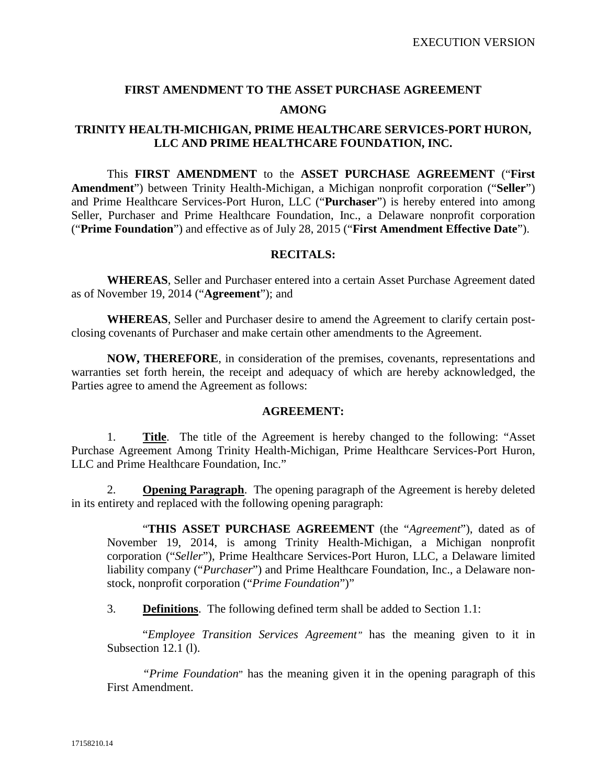# **FIRST AMENDMENT TO THE ASSET PURCHASE AGREEMENT AMONG**

#### **TRINITY HEALTH-MICHIGAN, PRIME HEALTHCARE SERVICES-PORT HURON, LLC AND PRIME HEALTHCARE FOUNDATION, INC.**

This **FIRST AMENDMENT** to the **ASSET PURCHASE AGREEMENT** ("**First Amendment**") between Trinity Health-Michigan, a Michigan nonprofit corporation ("**Seller**") and Prime Healthcare Services-Port Huron, LLC ("**Purchaser**") is hereby entered into among Seller, Purchaser and Prime Healthcare Foundation, Inc., a Delaware nonprofit corporation ("**Prime Foundation**") and effective as of July 28, 2015 ("**First Amendment Effective Date**").

#### **RECITALS:**

**WHEREAS**, Seller and Purchaser entered into a certain Asset Purchase Agreement dated as of November 19, 2014 ("**Agreement**"); and

**WHEREAS**, Seller and Purchaser desire to amend the Agreement to clarify certain postclosing covenants of Purchaser and make certain other amendments to the Agreement.

**NOW, THEREFORE**, in consideration of the premises, covenants, representations and warranties set forth herein, the receipt and adequacy of which are hereby acknowledged, the Parties agree to amend the Agreement as follows:

#### **AGREEMENT:**

1. **Title**. The title of the Agreement is hereby changed to the following: "Asset Purchase Agreement Among Trinity Health-Michigan, Prime Healthcare Services-Port Huron, LLC and Prime Healthcare Foundation, Inc."

2. **Opening Paragraph**. The opening paragraph of the Agreement is hereby deleted in its entirety and replaced with the following opening paragraph:

"**THIS ASSET PURCHASE AGREEMENT** (the "*Agreement*"), dated as of November 19, 2014, is among Trinity Health-Michigan, a Michigan nonprofit corporation ("*Seller*"), Prime Healthcare Services-Port Huron, LLC, a Delaware limited liability company ("*Purchaser*") and Prime Healthcare Foundation, Inc., a Delaware nonstock, nonprofit corporation ("*Prime Foundation*")"

3. **Definitions**. The following defined term shall be added to Section 1.1:

"*Employee Transition Services Agreement"* has the meaning given to it in Subsection 12.1 (l).

*"Prime Foundation*" has the meaning given it in the opening paragraph of this First Amendment.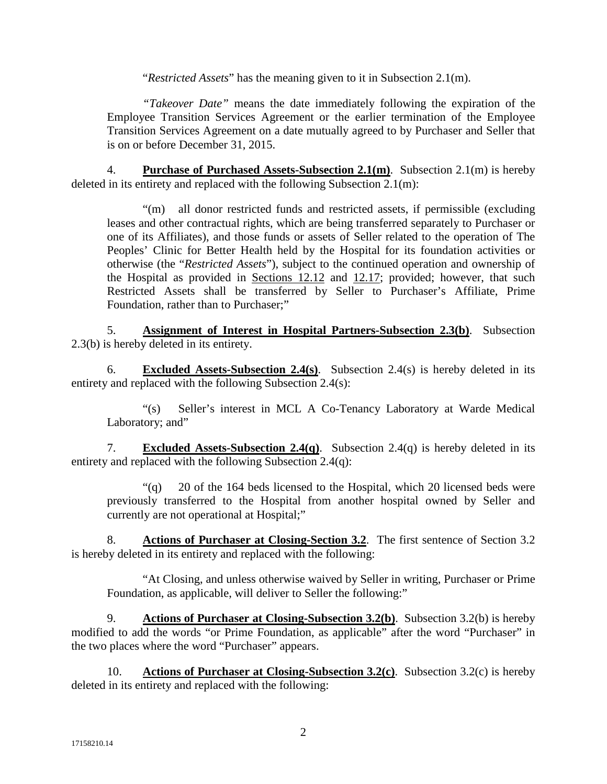"*Restricted Assets*" has the meaning given to it in Subsection 2.1(m).

*"Takeover Date"* means the date immediately following the expiration of the Employee Transition Services Agreement or the earlier termination of the Employee Transition Services Agreement on a date mutually agreed to by Purchaser and Seller that is on or before December 31, 2015.

4. **Purchase of Purchased Assets-Subsection 2.1(m)**. Subsection 2.1(m) is hereby deleted in its entirety and replaced with the following Subsection 2.1(m):

"(m) all donor restricted funds and restricted assets, if permissible (excluding leases and other contractual rights, which are being transferred separately to Purchaser or one of its Affiliates), and those funds or assets of Seller related to the operation of The Peoples' Clinic for Better Health held by the Hospital for its foundation activities or otherwise (the "*Restricted Assets*"), subject to the continued operation and ownership of the Hospital as provided in Sections 12.12 and 12.17; provided; however, that such Restricted Assets shall be transferred by Seller to Purchaser's Affiliate, Prime Foundation, rather than to Purchaser;"

5. **Assignment of Interest in Hospital Partners-Subsection 2.3(b)**. Subsection 2.3(b) is hereby deleted in its entirety.

6. **Excluded Assets-Subsection 2.4(s)**. Subsection 2.4(s) is hereby deleted in its entirety and replaced with the following Subsection 2.4(s):

"(s) Seller's interest in MCL A Co-Tenancy Laboratory at Warde Medical Laboratory; and"

7. **Excluded Assets-Subsection 2.4(q)**. Subsection 2.4(q) is hereby deleted in its entirety and replaced with the following Subsection 2.4(q):

 $\degree$ (q) 20 of the 164 beds licensed to the Hospital, which 20 licensed beds were previously transferred to the Hospital from another hospital owned by Seller and currently are not operational at Hospital;"

8. **Actions of Purchaser at Closing-Section 3.2**. The first sentence of Section 3.2 is hereby deleted in its entirety and replaced with the following:

"At Closing, and unless otherwise waived by Seller in writing, Purchaser or Prime Foundation, as applicable, will deliver to Seller the following:"

9. **Actions of Purchaser at Closing-Subsection 3.2(b)**. Subsection 3.2(b) is hereby modified to add the words "or Prime Foundation, as applicable" after the word "Purchaser" in the two places where the word "Purchaser" appears.

10. **Actions of Purchaser at Closing-Subsection 3.2(c)**. Subsection 3.2(c) is hereby deleted in its entirety and replaced with the following: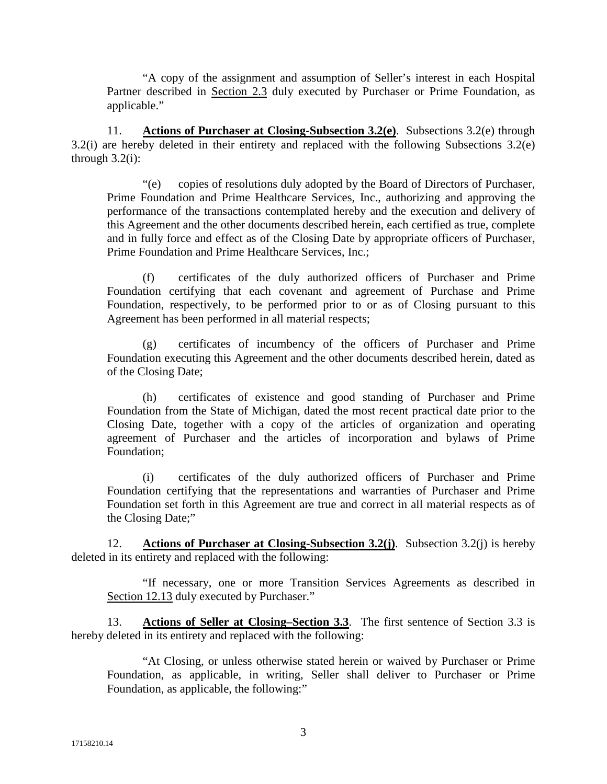"A copy of the assignment and assumption of Seller's interest in each Hospital Partner described in Section 2.3 duly executed by Purchaser or Prime Foundation, as applicable."

11. **Actions of Purchaser at Closing-Subsection 3.2(e)**. Subsections 3.2(e) through 3.2(i) are hereby deleted in their entirety and replaced with the following Subsections 3.2(e) through  $3.2(i)$ :

"(e) copies of resolutions duly adopted by the Board of Directors of Purchaser, Prime Foundation and Prime Healthcare Services, Inc., authorizing and approving the performance of the transactions contemplated hereby and the execution and delivery of this Agreement and the other documents described herein, each certified as true, complete and in fully force and effect as of the Closing Date by appropriate officers of Purchaser, Prime Foundation and Prime Healthcare Services, Inc.;

(f) certificates of the duly authorized officers of Purchaser and Prime Foundation certifying that each covenant and agreement of Purchase and Prime Foundation, respectively, to be performed prior to or as of Closing pursuant to this Agreement has been performed in all material respects;

(g) certificates of incumbency of the officers of Purchaser and Prime Foundation executing this Agreement and the other documents described herein, dated as of the Closing Date;

(h) certificates of existence and good standing of Purchaser and Prime Foundation from the State of Michigan, dated the most recent practical date prior to the Closing Date, together with a copy of the articles of organization and operating agreement of Purchaser and the articles of incorporation and bylaws of Prime Foundation;

(i) certificates of the duly authorized officers of Purchaser and Prime Foundation certifying that the representations and warranties of Purchaser and Prime Foundation set forth in this Agreement are true and correct in all material respects as of the Closing Date;"

12. **Actions of Purchaser at Closing-Subsection 3.2(j)**. Subsection 3.2(j) is hereby deleted in its entirety and replaced with the following:

"If necessary, one or more Transition Services Agreements as described in Section 12.13 duly executed by Purchaser."

13. **Actions of Seller at Closing–Section 3.3**. The first sentence of Section 3.3 is hereby deleted in its entirety and replaced with the following:

"At Closing, or unless otherwise stated herein or waived by Purchaser or Prime Foundation, as applicable, in writing, Seller shall deliver to Purchaser or Prime Foundation, as applicable, the following:"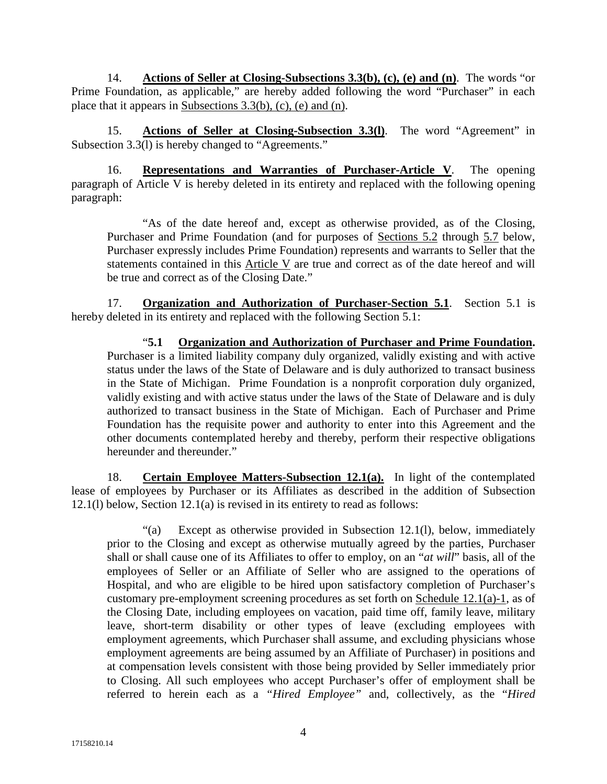14. **Actions of Seller at Closing-Subsections 3.3(b), (c), (e) and (n)**. The words "or Prime Foundation, as applicable," are hereby added following the word "Purchaser" in each place that it appears in Subsections 3.3(b), (c), (e) and (n).

15. **Actions of Seller at Closing-Subsection 3.3(l)**. The word "Agreement" in Subsection  $3.3(1)$  is hereby changed to "Agreements."

16. **Representations and Warranties of Purchaser-Article V**. The opening paragraph of Article V is hereby deleted in its entirety and replaced with the following opening paragraph:

"As of the date hereof and, except as otherwise provided, as of the Closing, Purchaser and Prime Foundation (and for purposes of Sections 5.2 through 5.7 below, Purchaser expressly includes Prime Foundation) represents and warrants to Seller that the statements contained in this Article V are true and correct as of the date hereof and will be true and correct as of the Closing Date."

17. **Organization and Authorization of Purchaser-Section 5.1**. Section 5.1 is hereby deleted in its entirety and replaced with the following Section 5.1:

"**5.1 Organization and Authorization of Purchaser and Prime Foundation.** Purchaser is a limited liability company duly organized, validly existing and with active status under the laws of the State of Delaware and is duly authorized to transact business in the State of Michigan. Prime Foundation is a nonprofit corporation duly organized, validly existing and with active status under the laws of the State of Delaware and is duly authorized to transact business in the State of Michigan. Each of Purchaser and Prime Foundation has the requisite power and authority to enter into this Agreement and the other documents contemplated hereby and thereby, perform their respective obligations hereunder and thereunder."

18. **Certain Employee Matters-Subsection 12.1(a).** In light of the contemplated lease of employees by Purchaser or its Affiliates as described in the addition of Subsection 12.1(l) below, Section 12.1(a) is revised in its entirety to read as follows:

"(a) Except as otherwise provided in Subsection 12.1(l), below, immediately prior to the Closing and except as otherwise mutually agreed by the parties, Purchaser shall or shall cause one of its Affiliates to offer to employ, on an "*at will*" basis, all of the employees of Seller or an Affiliate of Seller who are assigned to the operations of Hospital, and who are eligible to be hired upon satisfactory completion of Purchaser's customary pre-employment screening procedures as set forth on Schedule 12.1(a)-1, as of the Closing Date, including employees on vacation, paid time off, family leave, military leave, short-term disability or other types of leave (excluding employees with employment agreements, which Purchaser shall assume, and excluding physicians whose employment agreements are being assumed by an Affiliate of Purchaser) in positions and at compensation levels consistent with those being provided by Seller immediately prior to Closing. All such employees who accept Purchaser's offer of employment shall be referred to herein each as a *"Hired Employee"* and, collectively, as the "*Hired*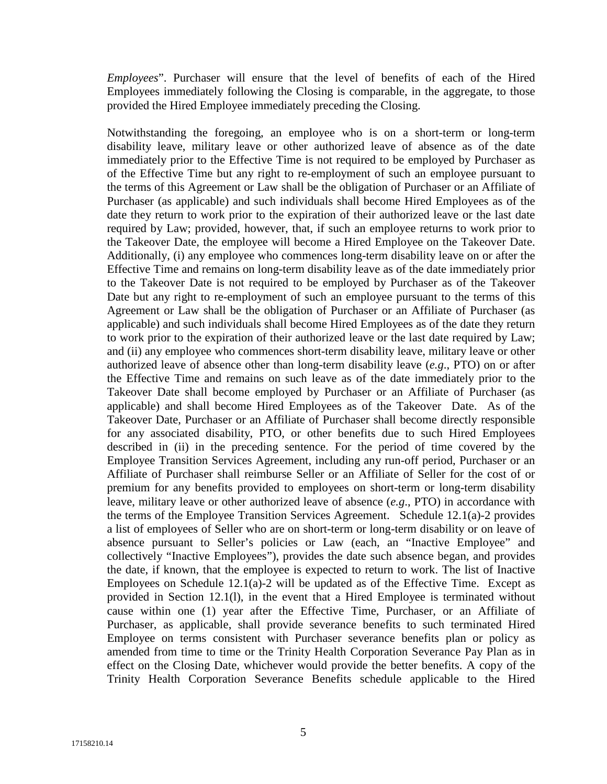*Employees*". Purchaser will ensure that the level of benefits of each of the Hired Employees immediately following the Closing is comparable, in the aggregate, to those provided the Hired Employee immediately preceding the Closing.

Notwithstanding the foregoing, an employee who is on a short-term or long-term disability leave, military leave or other authorized leave of absence as of the date immediately prior to the Effective Time is not required to be employed by Purchaser as of the Effective Time but any right to re-employment of such an employee pursuant to the terms of this Agreement or Law shall be the obligation of Purchaser or an Affiliate of Purchaser (as applicable) and such individuals shall become Hired Employees as of the date they return to work prior to the expiration of their authorized leave or the last date required by Law; provided, however, that, if such an employee returns to work prior to the Takeover Date, the employee will become a Hired Employee on the Takeover Date. Additionally, (i) any employee who commences long-term disability leave on or after the Effective Time and remains on long-term disability leave as of the date immediately prior to the Takeover Date is not required to be employed by Purchaser as of the Takeover Date but any right to re-employment of such an employee pursuant to the terms of this Agreement or Law shall be the obligation of Purchaser or an Affiliate of Purchaser (as applicable) and such individuals shall become Hired Employees as of the date they return to work prior to the expiration of their authorized leave or the last date required by Law; and (ii) any employee who commences short-term disability leave, military leave or other authorized leave of absence other than long-term disability leave (*e.g*., PTO) on or after the Effective Time and remains on such leave as of the date immediately prior to the Takeover Date shall become employed by Purchaser or an Affiliate of Purchaser (as applicable) and shall become Hired Employees as of the Takeover Date. As of the Takeover Date, Purchaser or an Affiliate of Purchaser shall become directly responsible for any associated disability, PTO, or other benefits due to such Hired Employees described in (ii) in the preceding sentence. For the period of time covered by the Employee Transition Services Agreement, including any run-off period, Purchaser or an Affiliate of Purchaser shall reimburse Seller or an Affiliate of Seller for the cost of or premium for any benefits provided to employees on short-term or long-term disability leave, military leave or other authorized leave of absence (*e.g*., PTO) in accordance with the terms of the Employee Transition Services Agreement. Schedule 12.1(a)-2 provides a list of employees of Seller who are on short-term or long-term disability or on leave of absence pursuant to Seller's policies or Law (each, an "Inactive Employee" and collectively "Inactive Employees"), provides the date such absence began, and provides the date, if known, that the employee is expected to return to work. The list of Inactive Employees on Schedule  $12.1(a)$ -2 will be updated as of the Effective Time. Except as provided in Section 12.1(l), in the event that a Hired Employee is terminated without cause within one (1) year after the Effective Time, Purchaser, or an Affiliate of Purchaser, as applicable, shall provide severance benefits to such terminated Hired Employee on terms consistent with Purchaser severance benefits plan or policy as amended from time to time or the Trinity Health Corporation Severance Pay Plan as in effect on the Closing Date, whichever would provide the better benefits. A copy of the Trinity Health Corporation Severance Benefits schedule applicable to the Hired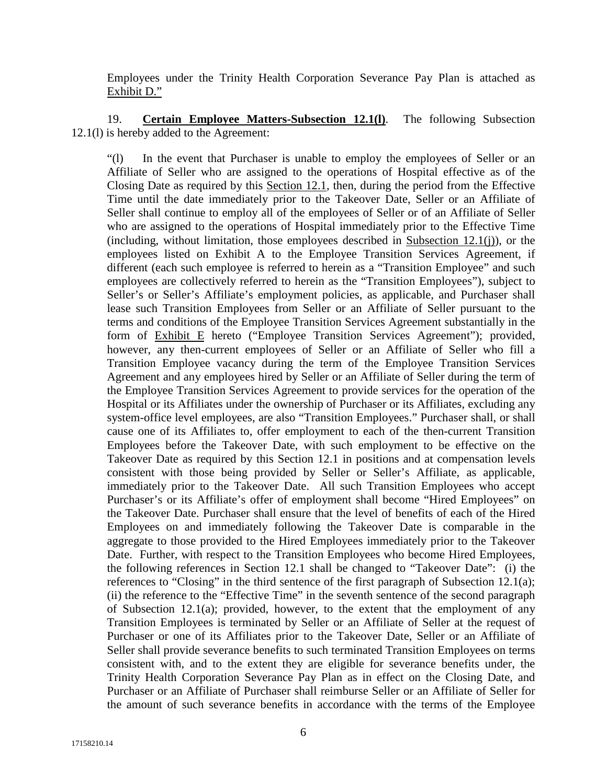Employees under the Trinity Health Corporation Severance Pay Plan is attached as Exhibit D."

19. **Certain Employee Matters-Subsection 12.1(l)**. The following Subsection 12.1(l) is hereby added to the Agreement:

"(l) In the event that Purchaser is unable to employ the employees of Seller or an Affiliate of Seller who are assigned to the operations of Hospital effective as of the Closing Date as required by this Section 12.1, then, during the period from the Effective Time until the date immediately prior to the Takeover Date, Seller or an Affiliate of Seller shall continue to employ all of the employees of Seller or of an Affiliate of Seller who are assigned to the operations of Hospital immediately prior to the Effective Time (including, without limitation, those employees described in Subsection 12.1(j)), or the employees listed on Exhibit A to the Employee Transition Services Agreement, if different (each such employee is referred to herein as a "Transition Employee" and such employees are collectively referred to herein as the "Transition Employees"), subject to Seller's or Seller's Affiliate's employment policies, as applicable, and Purchaser shall lease such Transition Employees from Seller or an Affiliate of Seller pursuant to the terms and conditions of the Employee Transition Services Agreement substantially in the form of Exhibit E hereto ("Employee Transition Services Agreement"); provided, however, any then-current employees of Seller or an Affiliate of Seller who fill a Transition Employee vacancy during the term of the Employee Transition Services Agreement and any employees hired by Seller or an Affiliate of Seller during the term of the Employee Transition Services Agreement to provide services for the operation of the Hospital or its Affiliates under the ownership of Purchaser or its Affiliates, excluding any system-office level employees, are also "Transition Employees." Purchaser shall, or shall cause one of its Affiliates to, offer employment to each of the then-current Transition Employees before the Takeover Date, with such employment to be effective on the Takeover Date as required by this Section 12.1 in positions and at compensation levels consistent with those being provided by Seller or Seller's Affiliate, as applicable, immediately prior to the Takeover Date. All such Transition Employees who accept Purchaser's or its Affiliate's offer of employment shall become "Hired Employees" on the Takeover Date. Purchaser shall ensure that the level of benefits of each of the Hired Employees on and immediately following the Takeover Date is comparable in the aggregate to those provided to the Hired Employees immediately prior to the Takeover Date. Further, with respect to the Transition Employees who become Hired Employees, the following references in Section 12.1 shall be changed to "Takeover Date": (i) the references to "Closing" in the third sentence of the first paragraph of Subsection 12.1(a); (ii) the reference to the "Effective Time" in the seventh sentence of the second paragraph of Subsection 12.1(a); provided, however, to the extent that the employment of any Transition Employees is terminated by Seller or an Affiliate of Seller at the request of Purchaser or one of its Affiliates prior to the Takeover Date, Seller or an Affiliate of Seller shall provide severance benefits to such terminated Transition Employees on terms consistent with, and to the extent they are eligible for severance benefits under, the Trinity Health Corporation Severance Pay Plan as in effect on the Closing Date, and Purchaser or an Affiliate of Purchaser shall reimburse Seller or an Affiliate of Seller for the amount of such severance benefits in accordance with the terms of the Employee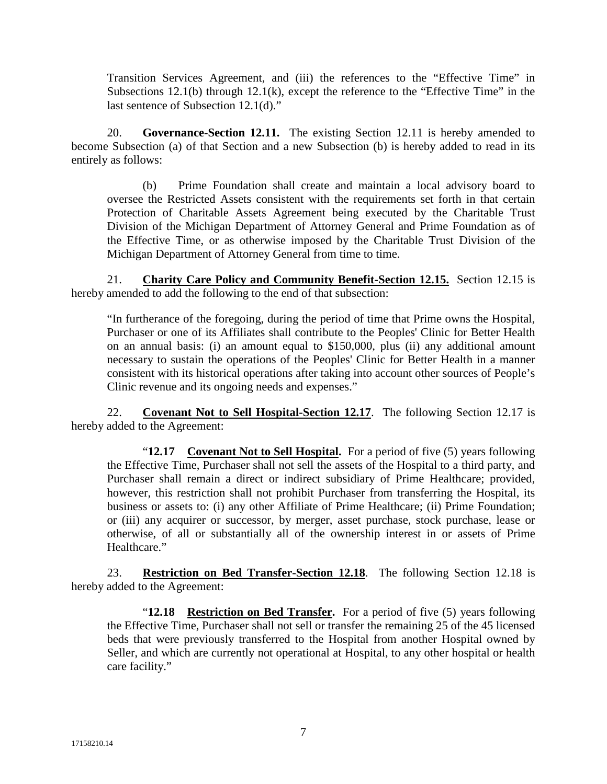Transition Services Agreement, and (iii) the references to the "Effective Time" in Subsections 12.1(b) through 12.1(k), except the reference to the "Effective Time" in the last sentence of Subsection 12.1(d)."

20. **Governance-Section 12.11.** The existing Section 12.11 is hereby amended to become Subsection (a) of that Section and a new Subsection (b) is hereby added to read in its entirely as follows:

(b) Prime Foundation shall create and maintain a local advisory board to oversee the Restricted Assets consistent with the requirements set forth in that certain Protection of Charitable Assets Agreement being executed by the Charitable Trust Division of the Michigan Department of Attorney General and Prime Foundation as of the Effective Time, or as otherwise imposed by the Charitable Trust Division of the Michigan Department of Attorney General from time to time.

21. **Charity Care Policy and Community Benefit-Section 12.15.** Section 12.15 is hereby amended to add the following to the end of that subsection:

"In furtherance of the foregoing, during the period of time that Prime owns the Hospital, Purchaser or one of its Affiliates shall contribute to the Peoples' Clinic for Better Health on an annual basis: (i) an amount equal to \$150,000, plus (ii) any additional amount necessary to sustain the operations of the Peoples' Clinic for Better Health in a manner consistent with its historical operations after taking into account other sources of People's Clinic revenue and its ongoing needs and expenses."

22. **Covenant Not to Sell Hospital-Section 12.17**. The following Section 12.17 is hereby added to the Agreement:

"**12.17 Covenant Not to Sell Hospital.** For a period of five (5) years following the Effective Time, Purchaser shall not sell the assets of the Hospital to a third party, and Purchaser shall remain a direct or indirect subsidiary of Prime Healthcare; provided, however, this restriction shall not prohibit Purchaser from transferring the Hospital, its business or assets to: (i) any other Affiliate of Prime Healthcare; (ii) Prime Foundation; or (iii) any acquirer or successor, by merger, asset purchase, stock purchase, lease or otherwise, of all or substantially all of the ownership interest in or assets of Prime Healthcare."

23. **Restriction on Bed Transfer-Section 12.18**. The following Section 12.18 is hereby added to the Agreement:

"**12.18 Restriction on Bed Transfer.** For a period of five (5) years following the Effective Time, Purchaser shall not sell or transfer the remaining 25 of the 45 licensed beds that were previously transferred to the Hospital from another Hospital owned by Seller, and which are currently not operational at Hospital, to any other hospital or health care facility."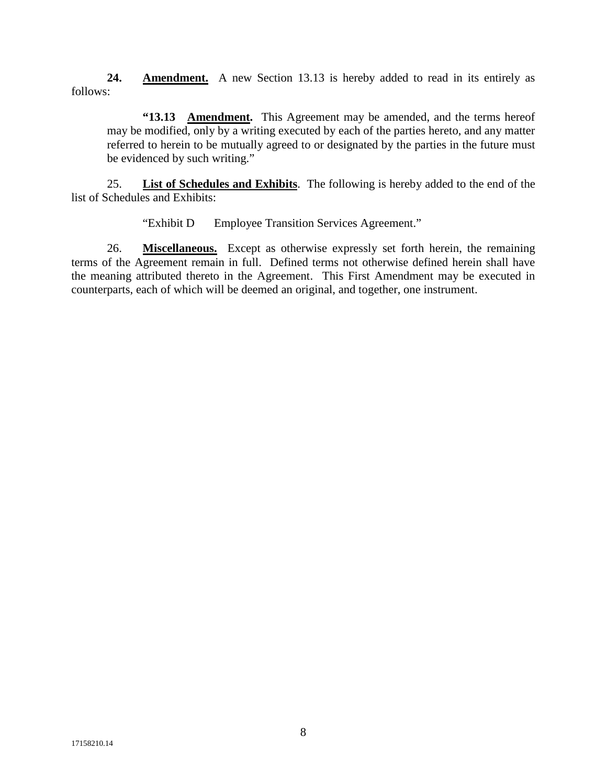**24. Amendment.** A new Section 13.13 is hereby added to read in its entirely as follows:

**"13.13 Amendment.** This Agreement may be amended, and the terms hereof may be modified, only by a writing executed by each of the parties hereto, and any matter referred to herein to be mutually agreed to or designated by the parties in the future must be evidenced by such writing."

25. **List of Schedules and Exhibits**. The following is hereby added to the end of the list of Schedules and Exhibits:

"Exhibit D Employee Transition Services Agreement."

26. **Miscellaneous.** Except as otherwise expressly set forth herein, the remaining terms of the Agreement remain in full. Defined terms not otherwise defined herein shall have the meaning attributed thereto in the Agreement. This First Amendment may be executed in counterparts, each of which will be deemed an original, and together, one instrument.